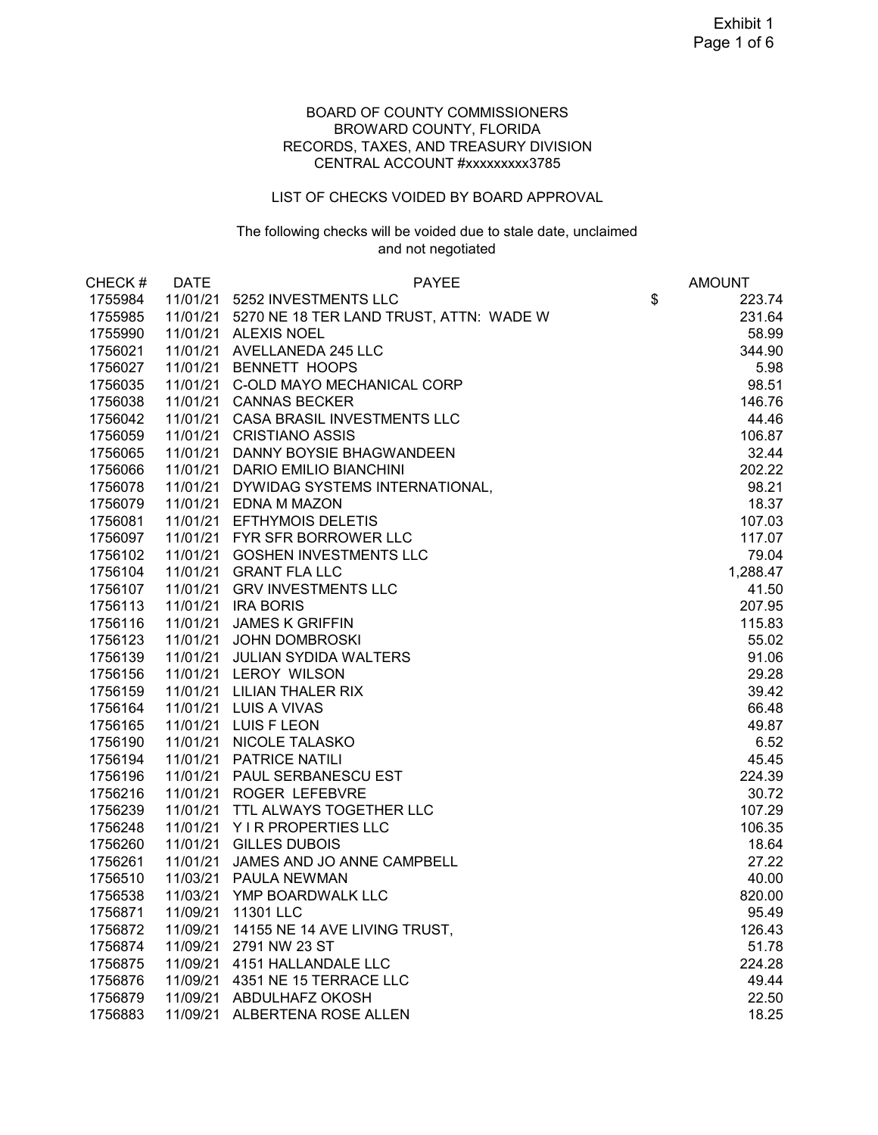### BOARD OF COUNTY COMMISSIONERS BROWARD COUNTY, FLORIDA RECORDS, TAXES, AND TREASURY DIVISION CENTRAL ACCOUNT #xxxxxxxxx3785

#### LIST OF CHECKS VOIDED BY BOARD APPROVAL

### The following checks will be voided due to stale date, unclaimed and not negotiated

| CHECK#  | <b>DATE</b> | <b>PAYEE</b>                            | <b>AMOUNT</b> |
|---------|-------------|-----------------------------------------|---------------|
| 1755984 | 11/01/21    | 5252 INVESTMENTS LLC                    | \$<br>223.74  |
| 1755985 | 11/01/21    | 5270 NE 18 TER LAND TRUST, ATTN: WADE W | 231.64        |
| 1755990 |             | 11/01/21 ALEXIS NOEL                    | 58.99         |
| 1756021 |             | 11/01/21 AVELLANEDA 245 LLC             | 344.90        |
| 1756027 |             | 11/01/21 BENNETT HOOPS                  | 5.98          |
| 1756035 |             | 11/01/21 C-OLD MAYO MECHANICAL CORP     | 98.51         |
| 1756038 |             | 11/01/21 CANNAS BECKER                  | 146.76        |
| 1756042 |             | 11/01/21 CASA BRASIL INVESTMENTS LLC    | 44.46         |
| 1756059 |             | 11/01/21 CRISTIANO ASSIS                | 106.87        |
| 1756065 |             | 11/01/21 DANNY BOYSIE BHAGWANDEEN       | 32.44         |
| 1756066 |             | 11/01/21 DARIO EMILIO BIANCHINI         | 202.22        |
| 1756078 |             | 11/01/21 DYWIDAG SYSTEMS INTERNATIONAL, | 98.21         |
| 1756079 |             | 11/01/21 EDNA M MAZON                   | 18.37         |
| 1756081 |             | 11/01/21 EFTHYMOIS DELETIS              | 107.03        |
| 1756097 |             | 11/01/21 FYR SFR BORROWER LLC           | 117.07        |
| 1756102 |             | 11/01/21 GOSHEN INVESTMENTS LLC         | 79.04         |
| 1756104 | 11/01/21    | <b>GRANT FLA LLC</b>                    | 1,288.47      |
| 1756107 | 11/01/21    | <b>GRV INVESTMENTS LLC</b>              | 41.50         |
| 1756113 | 11/01/21    | <b>IRA BORIS</b>                        | 207.95        |
| 1756116 | 11/01/21    | <b>JAMES K GRIFFIN</b>                  | 115.83        |
| 1756123 | 11/01/21    | <b>JOHN DOMBROSKI</b>                   | 55.02         |
| 1756139 | 11/01/21    | <b>JULIAN SYDIDA WALTERS</b>            | 91.06         |
| 1756156 |             | 11/01/21 LEROY WILSON                   | 29.28         |
| 1756159 | 11/01/21    | <b>LILIAN THALER RIX</b>                | 39.42         |
| 1756164 |             | 11/01/21 LUIS A VIVAS                   | 66.48         |
| 1756165 |             | 11/01/21 LUIS F LEON                    | 49.87         |
| 1756190 | 11/01/21    | <b>NICOLE TALASKO</b>                   | 6.52          |
| 1756194 | 11/01/21    | <b>PATRICE NATILI</b>                   | 45.45         |
| 1756196 | 11/01/21    | PAUL SERBANESCU EST                     | 224.39        |
| 1756216 | 11/01/21    | <b>ROGER LEFEBVRE</b>                   | 30.72         |
| 1756239 | 11/01/21    | TTL ALWAYS TOGETHER LLC                 | 107.29        |
| 1756248 | 11/01/21    | Y I R PROPERTIES LLC                    | 106.35        |
| 1756260 | 11/01/21    | <b>GILLES DUBOIS</b>                    | 18.64         |
| 1756261 | 11/01/21    | JAMES AND JO ANNE CAMPBELL              | 27.22         |
| 1756510 | 11/03/21    | PAULA NEWMAN                            | 40.00         |
| 1756538 | 11/03/21    | YMP BOARDWALK LLC                       | 820.00        |
| 1756871 |             | 11/09/21 11301 LLC                      | 95.49         |
| 1756872 | 11/09/21    | 14155 NE 14 AVE LIVING TRUST,           | 126.43        |
| 1756874 | 11/09/21    | 2791 NW 23 ST                           | 51.78         |
| 1756875 | 11/09/21    | 4151 HALLANDALE LLC                     | 224.28        |
| 1756876 | 11/09/21    | 4351 NE 15 TERRACE LLC                  | 49.44         |
| 1756879 | 11/09/21    | ABDULHAFZ OKOSH                         | 22.50         |
| 1756883 | 11/09/21    | ALBERTENA ROSE ALLEN                    | 18.25         |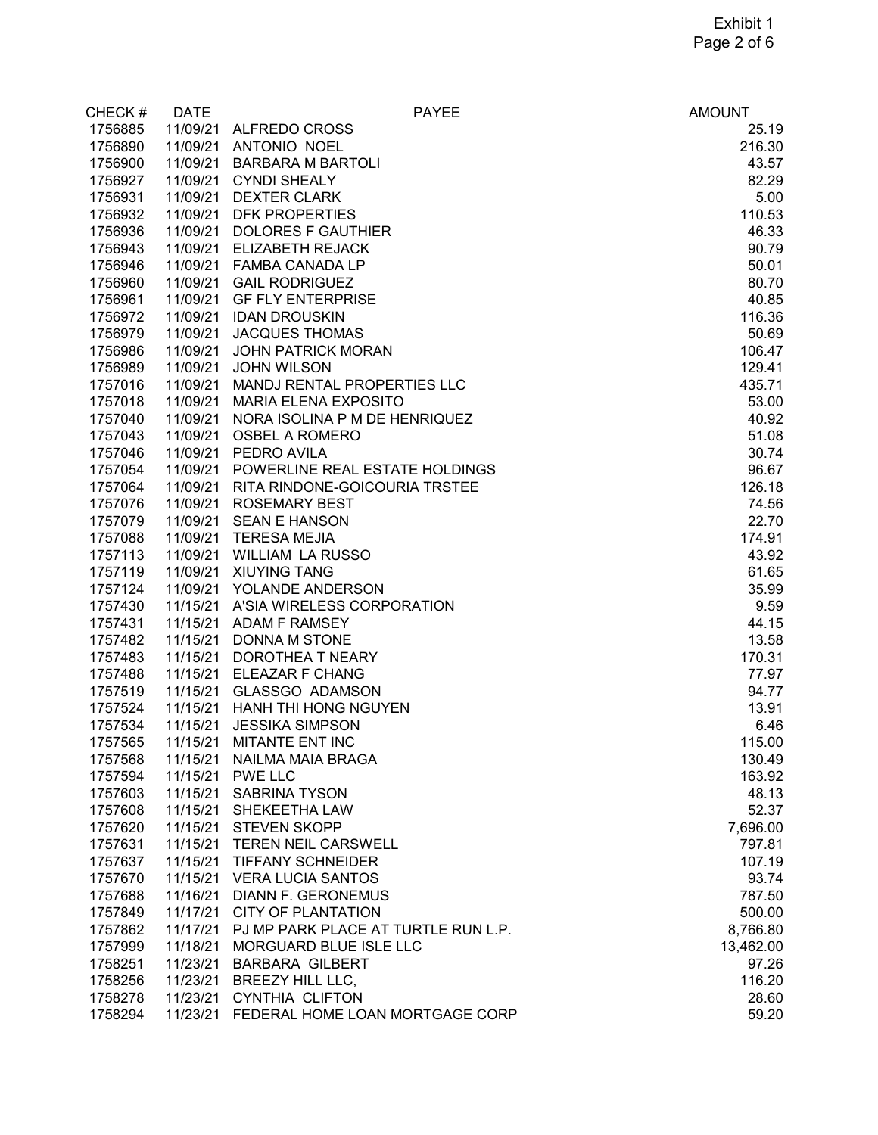| CHECK#  | <b>DATE</b> | <b>PAYEE</b>                             | <b>AMOUNT</b> |
|---------|-------------|------------------------------------------|---------------|
| 1756885 |             | 11/09/21 ALFREDO CROSS                   | 25.19         |
| 1756890 |             | 11/09/21 ANTONIO NOEL                    | 216.30        |
| 1756900 | 11/09/21    | <b>BARBARA M BARTOLI</b>                 | 43.57         |
| 1756927 | 11/09/21    | <b>CYNDI SHEALY</b>                      | 82.29         |
| 1756931 | 11/09/21    | <b>DEXTER CLARK</b>                      | 5.00          |
| 1756932 | 11/09/21    | <b>DFK PROPERTIES</b>                    | 110.53        |
| 1756936 | 11/09/21    | <b>DOLORES F GAUTHIER</b>                | 46.33         |
| 1756943 | 11/09/21    | <b>ELIZABETH REJACK</b>                  | 90.79         |
| 1756946 | 11/09/21    | <b>FAMBA CANADA LP</b>                   | 50.01         |
| 1756960 | 11/09/21    | <b>GAIL RODRIGUEZ</b>                    | 80.70         |
| 1756961 | 11/09/21    | <b>GF FLY ENTERPRISE</b>                 | 40.85         |
| 1756972 | 11/09/21    | <b>IDAN DROUSKIN</b>                     | 116.36        |
| 1756979 | 11/09/21    | <b>JACQUES THOMAS</b>                    | 50.69         |
| 1756986 | 11/09/21    | <b>JOHN PATRICK MORAN</b>                | 106.47        |
| 1756989 | 11/09/21    | <b>JOHN WILSON</b>                       | 129.41        |
| 1757016 | 11/09/21    | MANDJ RENTAL PROPERTIES LLC              | 435.71        |
| 1757018 | 11/09/21    | <b>MARIA ELENA EXPOSITO</b>              | 53.00         |
| 1757040 | 11/09/21    | NORA ISOLINA P M DE HENRIQUEZ            | 40.92         |
| 1757043 | 11/09/21    | <b>OSBEL A ROMERO</b>                    | 51.08         |
| 1757046 | 11/09/21    | PEDRO AVILA                              | 30.74         |
| 1757054 | 11/09/21    | POWERLINE REAL ESTATE HOLDINGS           | 96.67         |
|         |             |                                          |               |
| 1757064 | 11/09/21    | RITA RINDONE-GOICOURIA TRSTEE            | 126.18        |
| 1757076 | 11/09/21    | <b>ROSEMARY BEST</b>                     | 74.56         |
| 1757079 | 11/09/21    | <b>SEAN E HANSON</b>                     | 22.70         |
| 1757088 |             | 11/09/21 TERESA MEJIA                    | 174.91        |
| 1757113 | 11/09/21    | <b>WILLIAM LA RUSSO</b>                  | 43.92         |
| 1757119 | 11/09/21    | <b>XIUYING TANG</b>                      | 61.65         |
| 1757124 | 11/09/21    | YOLANDE ANDERSON                         | 35.99         |
| 1757430 |             | 11/15/21 A'SIA WIRELESS CORPORATION      | 9.59          |
| 1757431 | 11/15/21    | <b>ADAM F RAMSEY</b>                     | 44.15         |
| 1757482 | 11/15/21    | DONNA M STONE                            | 13.58         |
| 1757483 | 11/15/21    | DOROTHEA T NEARY                         | 170.31        |
| 1757488 | 11/15/21    | ELEAZAR F CHANG                          | 77.97         |
| 1757519 | 11/15/21    | <b>GLASSGO ADAMSON</b>                   | 94.77         |
| 1757524 | 11/15/21    | HANH THI HONG NGUYEN                     | 13.91         |
| 1757534 | 11/15/21    | <b>JESSIKA SIMPSON</b>                   | 6.46          |
| 1757565 | 11/15/21    | MITANTE ENT INC                          | 115.00        |
| 1757568 | 11/15/21    | NAILMA MAIA BRAGA                        | 130.49        |
| 1757594 | 11/15/21    | <b>PWE LLC</b>                           | 163.92        |
| 1757603 | 11/15/21    | <b>SABRINA TYSON</b>                     | 48.13         |
| 1757608 | 11/15/21    | SHEKEETHA LAW                            | 52.37         |
| 1757620 | 11/15/21    | <b>STEVEN SKOPP</b>                      | 7,696.00      |
| 1757631 | 11/15/21    | <b>TEREN NEIL CARSWELL</b>               | 797.81        |
| 1757637 | 11/15/21    | <b>TIFFANY SCHNEIDER</b>                 | 107.19        |
| 1757670 | 11/15/21    | <b>VERA LUCIA SANTOS</b>                 | 93.74         |
| 1757688 | 11/16/21    | <b>DIANN F. GERONEMUS</b>                | 787.50        |
| 1757849 | 11/17/21    | <b>CITY OF PLANTATION</b>                | 500.00        |
| 1757862 | 11/17/21    | PJ MP PARK PLACE AT TURTLE RUN L.P.      | 8,766.80      |
| 1757999 | 11/18/21    | MORGUARD BLUE ISLE LLC                   | 13,462.00     |
| 1758251 | 11/23/21    | <b>BARBARA GILBERT</b>                   | 97.26         |
| 1758256 | 11/23/21    | BREEZY HILL LLC,                         | 116.20        |
| 1758278 | 11/23/21    | <b>CYNTHIA CLIFTON</b>                   | 28.60         |
| 1758294 |             | 11/23/21 FEDERAL HOME LOAN MORTGAGE CORP | 59.20         |
|         |             |                                          |               |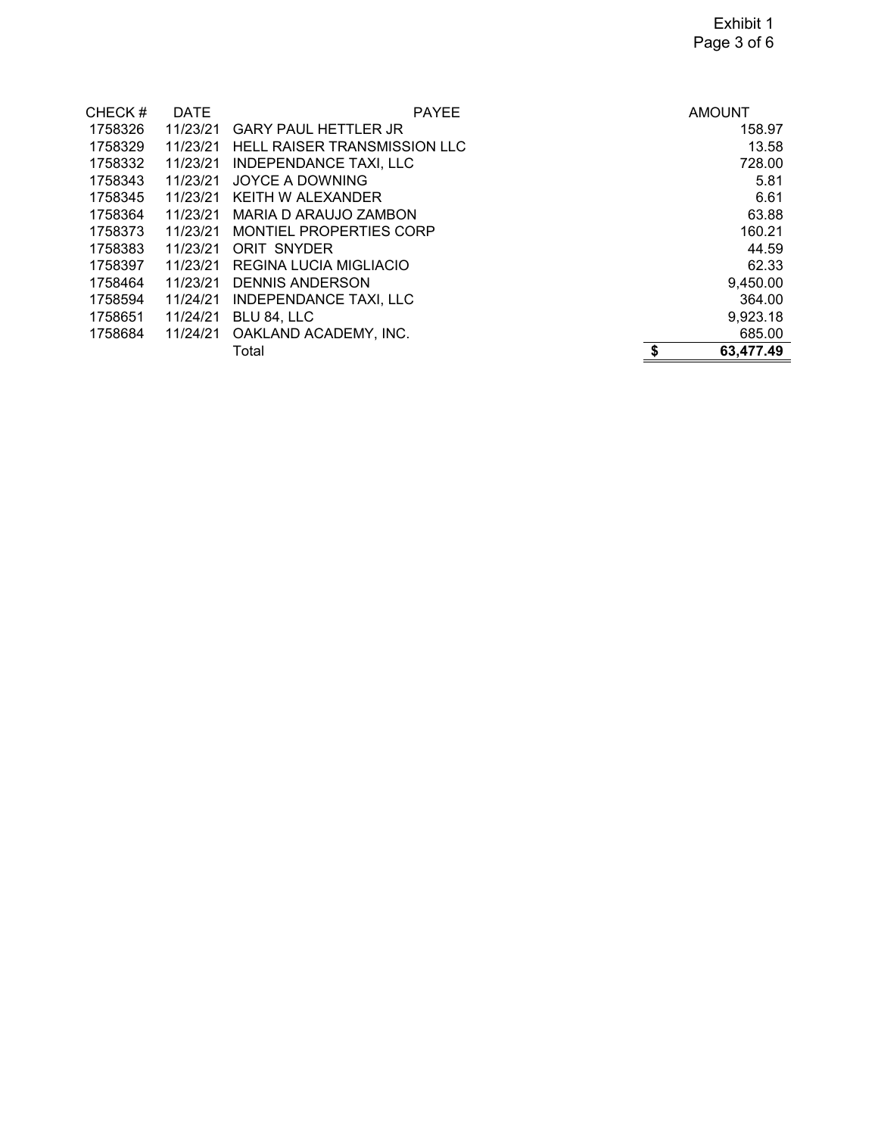| CHECK#  | <b>DATE</b> | <b>PAYEE</b>                        | <b>AMOUNT</b>   |
|---------|-------------|-------------------------------------|-----------------|
| 1758326 | 11/23/21    | <b>GARY PAUL HETTLER JR</b>         | 158.97          |
| 1758329 | 11/23/21    | <b>HELL RAISER TRANSMISSION LLC</b> | 13.58           |
| 1758332 | 11/23/21    | <b>INDEPENDANCE TAXI, LLC</b>       | 728.00          |
| 1758343 | 11/23/21    | <b>JOYCE A DOWNING</b>              | 5.81            |
| 1758345 | 11/23/21    | KEITH W ALEXANDER                   | 6.61            |
| 1758364 | 11/23/21    | MARIA D ARAUJO ZAMBON               | 63.88           |
| 1758373 | 11/23/21    | MONTIEL PROPERTIES CORP             | 160.21          |
| 1758383 | 11/23/21    | ORIT SNYDER                         | 44.59           |
| 1758397 | 11/23/21    | REGINA LUCIA MIGLIACIO              | 62.33           |
| 1758464 | 11/23/21    | <b>DENNIS ANDERSON</b>              | 9,450.00        |
| 1758594 | 11/24/21    | <b>INDEPENDANCE TAXI, LLC</b>       | 364.00          |
| 1758651 | 11/24/21    | BLU 84, LLC                         | 9,923.18        |
| 1758684 | 11/24/21    | OAKLAND ACADEMY, INC.               | 685.00          |
|         |             | Total                               | \$<br>63,477.49 |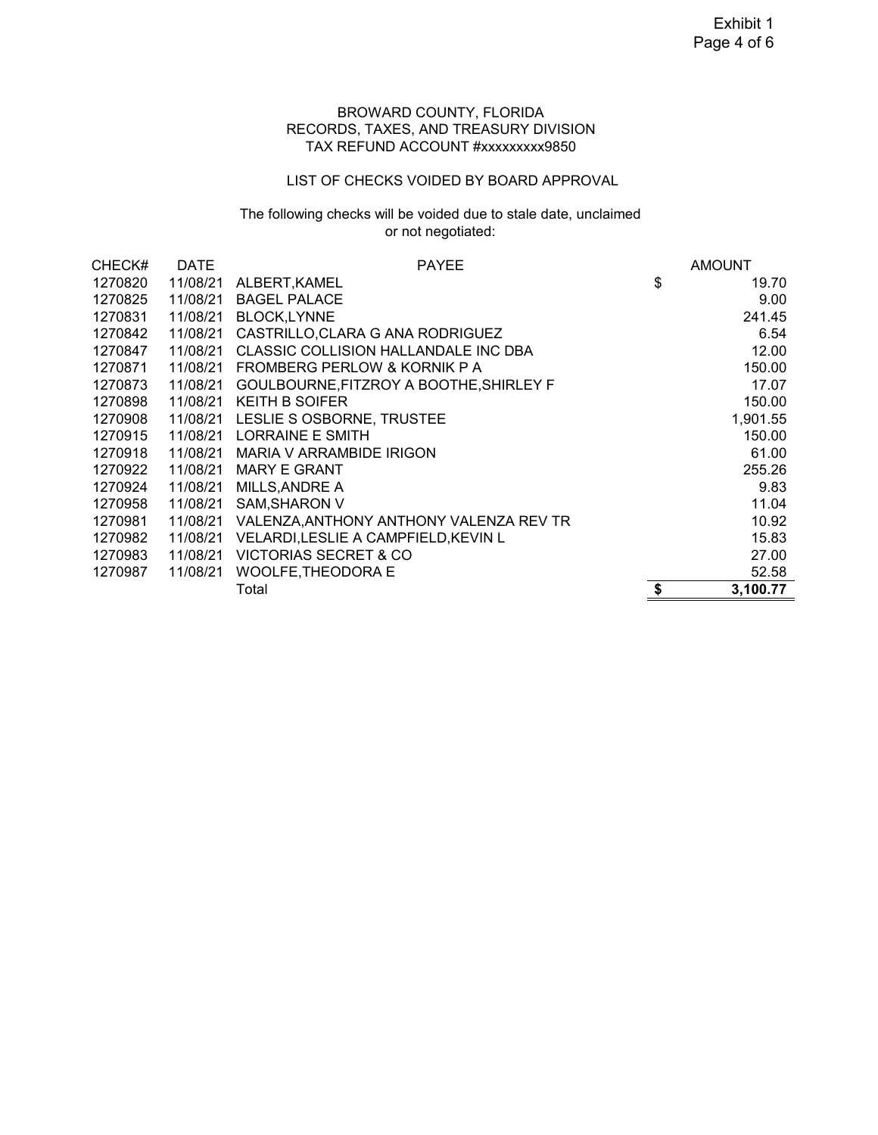#### BROWARD COUNTY, FLORIDA RECORDS, TAXES, AND TREASURY DIVISION TAX REFUND ACCOUNT #xxxxxxxxx9850

## LIST OF CHECKS VOIDED BY BOARD APPROVAL

# The following checks will be voided due to stale date, unclaimed or not negotiated:

| CHECK#  | <b>DATE</b> | <b>PAYEE</b>                            | <b>AMOUNT</b>  |
|---------|-------------|-----------------------------------------|----------------|
| 1270820 | 11/08/21    | ALBERT, KAMEL                           | \$<br>19.70    |
| 1270825 | 11/08/21    | <b>BAGEL PALACE</b>                     | 9.00           |
| 1270831 | 11/08/21    | <b>BLOCK,LYNNE</b>                      | 241.45         |
| 1270842 | 11/08/21    | CASTRILLO, CLARA G ANA RODRIGUEZ        | 6.54           |
| 1270847 | 11/08/21    | CLASSIC COLLISION HALLANDALE INC DBA    | 12.00          |
| 1270871 | 11/08/21    | FROMBERG PERLOW & KORNIK P A            | 150.00         |
| 1270873 | 11/08/21    | GOULBOURNE, FITZROY A BOOTHE, SHIRLEY F | 17.07          |
| 1270898 | 11/08/21    | <b>KEITH B SOIFER</b>                   | 150.00         |
| 1270908 |             | 11/08/21 LESLIE S OSBORNE, TRUSTEE      | 1,901.55       |
| 1270915 | 11/08/21    | LORRAINE E SMITH                        | 150.00         |
| 1270918 | 11/08/21    | <b>MARIA V ARRAMBIDE IRIGON</b>         | 61.00          |
| 1270922 | 11/08/21    | <b>MARY E GRANT</b>                     | 255.26         |
| 1270924 | 11/08/21    | <b>MILLS, ANDRE A</b>                   | 9.83           |
| 1270958 | 11/08/21    | <b>SAM, SHARON V</b>                    | 11.04          |
| 1270981 | 11/08/21    | VALENZA, ANTHONY ANTHONY VALENZA REV TR | 10.92          |
| 1270982 | 11/08/21    | VELARDI, LESLIE A CAMPFIELD, KEVIN L    | 15.83          |
| 1270983 | 11/08/21    | <b>VICTORIAS SECRET &amp; CO</b>        | 27.00          |
| 1270987 | 11/08/21    | <b>WOOLFE, THEODORA E</b>               | 52.58          |
|         |             | Total                                   | \$<br>3,100.77 |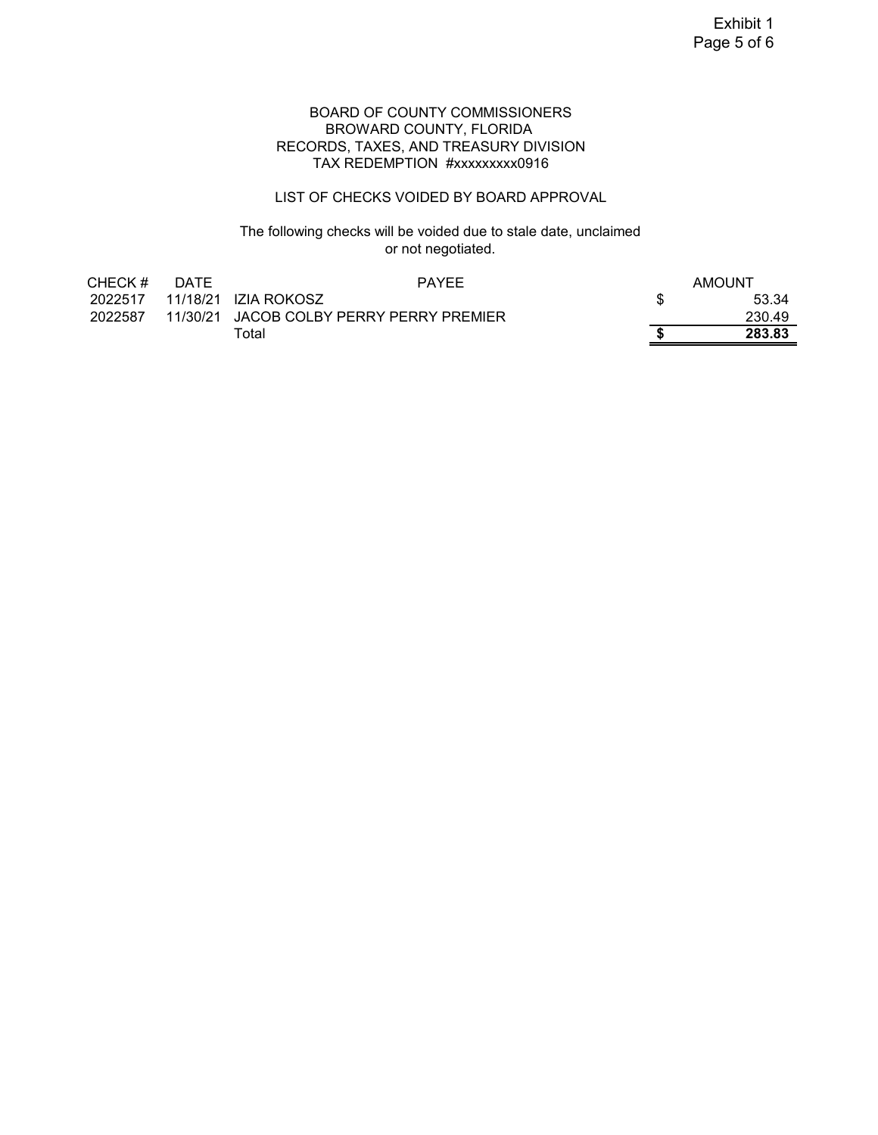#### BOARD OF COUNTY COMMISSIONERS BROWARD COUNTY, FLORIDA RECORDS, TAXES, AND TREASURY DIVISION TAX REDEMPTION #xxxxxxxxx0916

### LIST OF CHECKS VOIDED BY BOARD APPROVAL

## The following checks will be voided due to stale date, unclaimed or not negotiated.

| CHECK#  | <b>DATE</b> | <b>PAYFF</b>                             | AMOUNT |
|---------|-------------|------------------------------------------|--------|
|         |             |                                          | 53.34  |
| 2022587 |             | 11/30/21 JACOB COLBY PERRY PERRY PREMIER | 230.49 |
|         |             | Total                                    | 283.83 |